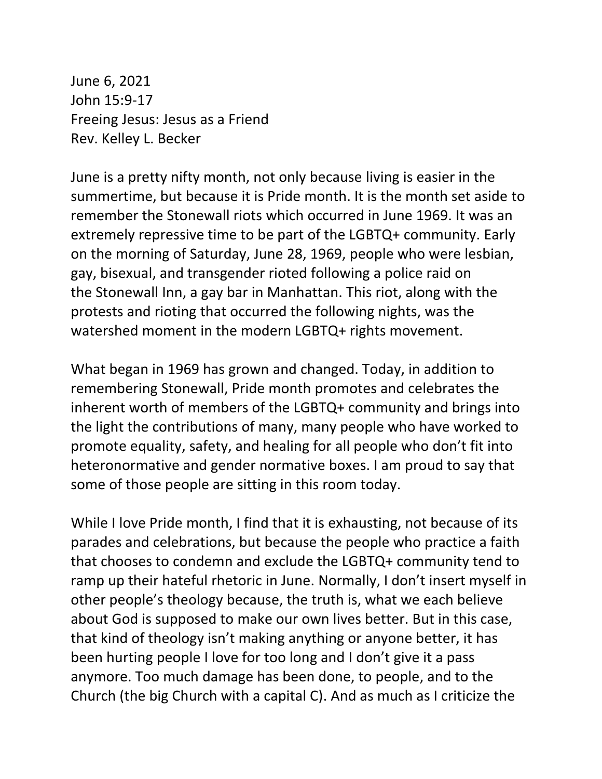June 6, 2021 John 15:9-17 Freeing Jesus: Jesus as a Friend Rev. Kelley L. Becker

June is a pretty nifty month, not only because living is easier in the summertime, but because it is Pride month. It is the month set aside to remember the Stonewall riots which occurred in June 1969. It was an extremely repressive time to be part of the LGBTQ+ community. Early on the morning of Saturday, June 28, 1969, people who were lesbian, gay, bisexual, and transgender rioted following a police raid on the Stonewall Inn, a gay bar in Manhattan. This riot, along with the protests and rioting that occurred the following nights, was the watershed moment in the modern LGBTQ+ rights movement.

What began in 1969 has grown and changed. Today, in addition to remembering Stonewall, Pride month promotes and celebrates the inherent worth of members of the LGBTQ+ community and brings into the light the contributions of many, many people who have worked to promote equality, safety, and healing for all people who don't fit into heteronormative and gender normative boxes. I am proud to say that some of those people are sitting in this room today.

While I love Pride month, I find that it is exhausting, not because of its parades and celebrations, but because the people who practice a faith that chooses to condemn and exclude the LGBTQ+ community tend to ramp up their hateful rhetoric in June. Normally, I don't insert myself in other people's theology because, the truth is, what we each believe about God is supposed to make our own lives better. But in this case, that kind of theology isn't making anything or anyone better, it has been hurting people I love for too long and I don't give it a pass anymore. Too much damage has been done, to people, and to the Church (the big Church with a capital C). And as much as I criticize the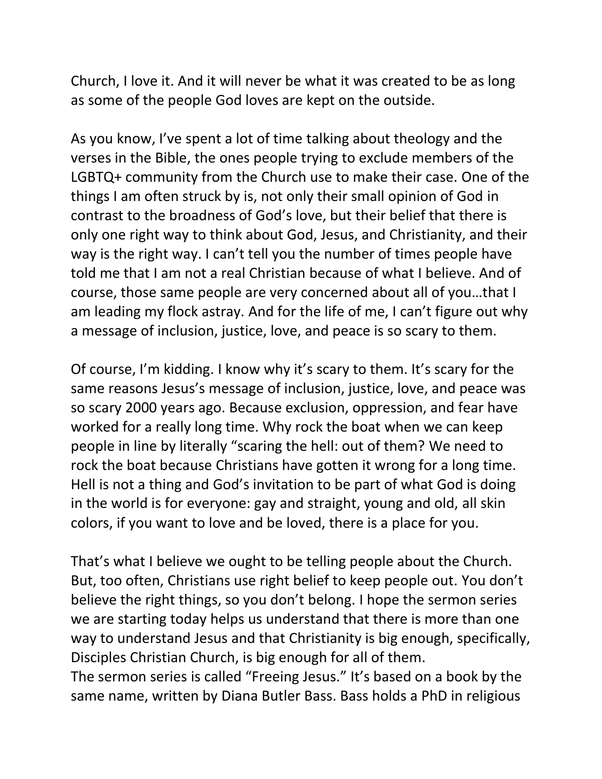Church, I love it. And it will never be what it was created to be as long as some of the people God loves are kept on the outside.

As you know, I've spent a lot of time talking about theology and the verses in the Bible, the ones people trying to exclude members of the LGBTQ+ community from the Church use to make their case. One of the things I am often struck by is, not only their small opinion of God in contrast to the broadness of God's love, but their belief that there is only one right way to think about God, Jesus, and Christianity, and their way is the right way. I can't tell you the number of times people have told me that I am not a real Christian because of what I believe. And of course, those same people are very concerned about all of you…that I am leading my flock astray. And for the life of me, I can't figure out why a message of inclusion, justice, love, and peace is so scary to them.

Of course, I'm kidding. I know why it's scary to them. It's scary for the same reasons Jesus's message of inclusion, justice, love, and peace was so scary 2000 years ago. Because exclusion, oppression, and fear have worked for a really long time. Why rock the boat when we can keep people in line by literally "scaring the hell: out of them? We need to rock the boat because Christians have gotten it wrong for a long time. Hell is not a thing and God's invitation to be part of what God is doing in the world is for everyone: gay and straight, young and old, all skin colors, if you want to love and be loved, there is a place for you.

That's what I believe we ought to be telling people about the Church. But, too often, Christians use right belief to keep people out. You don't believe the right things, so you don't belong. I hope the sermon series we are starting today helps us understand that there is more than one way to understand Jesus and that Christianity is big enough, specifically, Disciples Christian Church, is big enough for all of them.

The sermon series is called "Freeing Jesus." It's based on a book by the same name, written by Diana Butler Bass. Bass holds a PhD in religious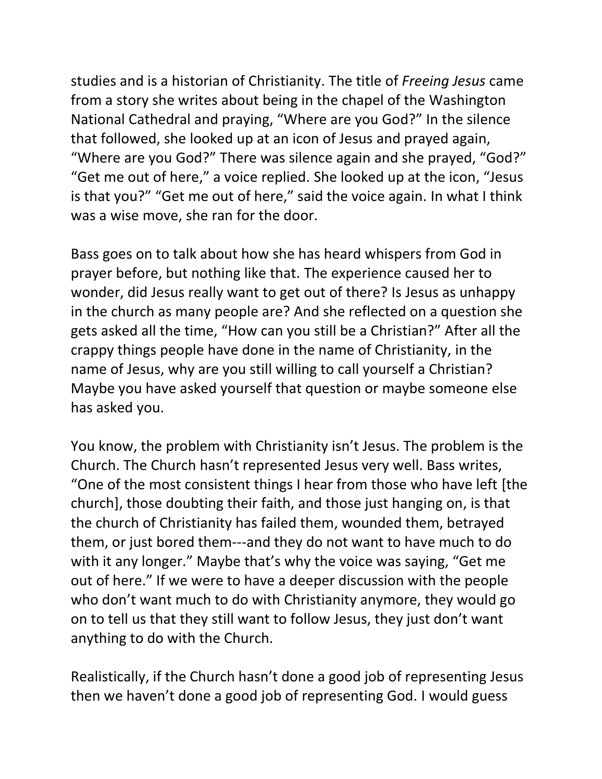studies and is a historian of Christianity. The title of *Freeing Jesus* came from a story she writes about being in the chapel of the Washington National Cathedral and praying, "Where are you God?" In the silence that followed, she looked up at an icon of Jesus and prayed again, "Where are you God?" There was silence again and she prayed, "God?" "Get me out of here," a voice replied. She looked up at the icon, "Jesus is that you?" "Get me out of here," said the voice again. In what I think was a wise move, she ran for the door.

Bass goes on to talk about how she has heard whispers from God in prayer before, but nothing like that. The experience caused her to wonder, did Jesus really want to get out of there? Is Jesus as unhappy in the church as many people are? And she reflected on a question she gets asked all the time, "How can you still be a Christian?" After all the crappy things people have done in the name of Christianity, in the name of Jesus, why are you still willing to call yourself a Christian? Maybe you have asked yourself that question or maybe someone else has asked you.

You know, the problem with Christianity isn't Jesus. The problem is the Church. The Church hasn't represented Jesus very well. Bass writes, "One of the most consistent things I hear from those who have left [the church], those doubting their faith, and those just hanging on, is that the church of Christianity has failed them, wounded them, betrayed them, or just bored them---and they do not want to have much to do with it any longer." Maybe that's why the voice was saying, "Get me out of here." If we were to have a deeper discussion with the people who don't want much to do with Christianity anymore, they would go on to tell us that they still want to follow Jesus, they just don't want anything to do with the Church.

Realistically, if the Church hasn't done a good job of representing Jesus then we haven't done a good job of representing God. I would guess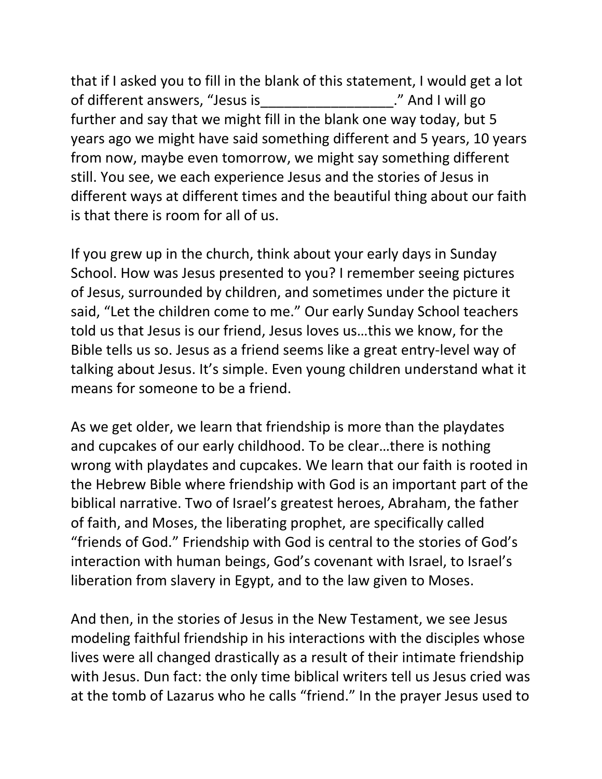that if I asked you to fill in the blank of this statement, I would get a lot of different answers, "Jesus is The Manuson of different answers, "Jesus is further and say that we might fill in the blank one way today, but 5 years ago we might have said something different and 5 years, 10 years from now, maybe even tomorrow, we might say something different still. You see, we each experience Jesus and the stories of Jesus in different ways at different times and the beautiful thing about our faith is that there is room for all of us.

If you grew up in the church, think about your early days in Sunday School. How was Jesus presented to you? I remember seeing pictures of Jesus, surrounded by children, and sometimes under the picture it said, "Let the children come to me." Our early Sunday School teachers told us that Jesus is our friend, Jesus loves us…this we know, for the Bible tells us so. Jesus as a friend seems like a great entry-level way of talking about Jesus. It's simple. Even young children understand what it means for someone to be a friend.

As we get older, we learn that friendship is more than the playdates and cupcakes of our early childhood. To be clear…there is nothing wrong with playdates and cupcakes. We learn that our faith is rooted in the Hebrew Bible where friendship with God is an important part of the biblical narrative. Two of Israel's greatest heroes, Abraham, the father of faith, and Moses, the liberating prophet, are specifically called "friends of God." Friendship with God is central to the stories of God's interaction with human beings, God's covenant with Israel, to Israel's liberation from slavery in Egypt, and to the law given to Moses.

And then, in the stories of Jesus in the New Testament, we see Jesus modeling faithful friendship in his interactions with the disciples whose lives were all changed drastically as a result of their intimate friendship with Jesus. Dun fact: the only time biblical writers tell us Jesus cried was at the tomb of Lazarus who he calls "friend." In the prayer Jesus used to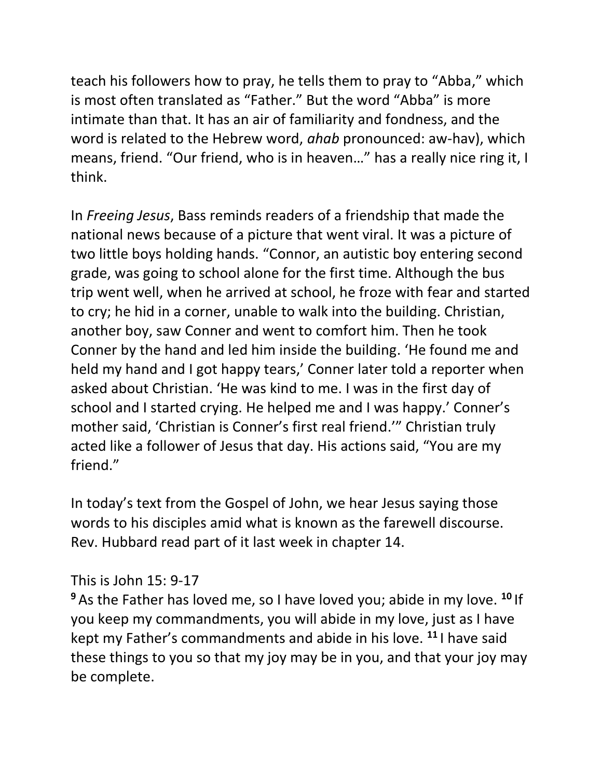teach his followers how to pray, he tells them to pray to "Abba," which is most often translated as "Father." But the word "Abba" is more intimate than that. It has an air of familiarity and fondness, and the word is related to the Hebrew word, *ahab* pronounced: aw-hav), which means, friend. "Our friend, who is in heaven…" has a really nice ring it, I think.

In *Freeing Jesus*, Bass reminds readers of a friendship that made the national news because of a picture that went viral. It was a picture of two little boys holding hands. "Connor, an autistic boy entering second grade, was going to school alone for the first time. Although the bus trip went well, when he arrived at school, he froze with fear and started to cry; he hid in a corner, unable to walk into the building. Christian, another boy, saw Conner and went to comfort him. Then he took Conner by the hand and led him inside the building. 'He found me and held my hand and I got happy tears,' Conner later told a reporter when asked about Christian. 'He was kind to me. I was in the first day of school and I started crying. He helped me and I was happy.' Conner's mother said, 'Christian is Conner's first real friend.'" Christian truly acted like a follower of Jesus that day. His actions said, "You are my friend."

In today's text from the Gospel of John, we hear Jesus saying those words to his disciples amid what is known as the farewell discourse. Rev. Hubbard read part of it last week in chapter 14.

## This is John 15: 9-17

**<sup>9</sup>** As the Father has loved me, so I have loved you; abide in my love. **<sup>10</sup>** If you keep my commandments, you will abide in my love, just as I have kept my Father's commandments and abide in his love. **<sup>11</sup>** I have said these things to you so that my joy may be in you, and that your joy may be complete.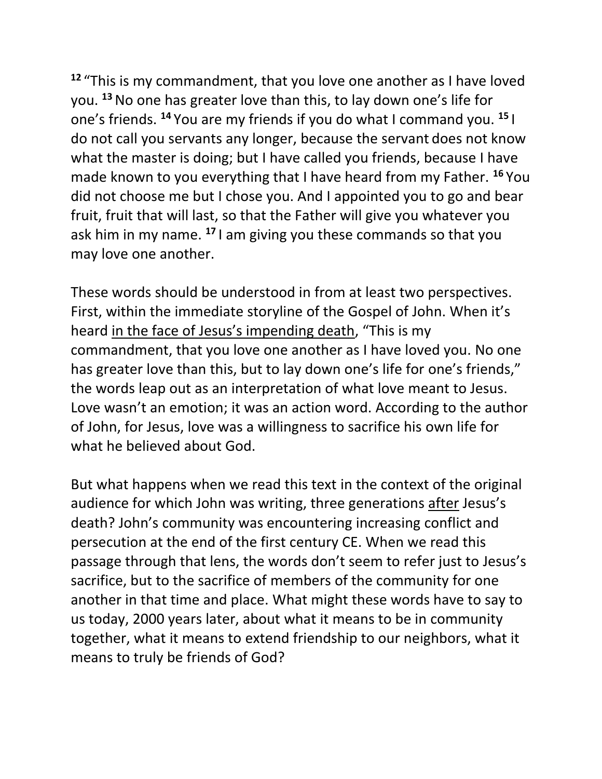**<sup>12</sup>** "This is my commandment, that you love one another as I have loved you. **<sup>13</sup>**No one has greater love than this, to lay down one's life for one's friends. **<sup>14</sup>** You are my friends if you do what I command you. **<sup>15</sup>** I do not call you servants any longer, because the servant does not know what the master is doing; but I have called you friends, because I have made known to you everything that I have heard from my Father. **<sup>16</sup>** You did not choose me but I chose you. And I appointed you to go and bear fruit, fruit that will last, so that the Father will give you whatever you ask him in my name. **<sup>17</sup>** I am giving you these commands so that you may love one another.

These words should be understood in from at least two perspectives. First, within the immediate storyline of the Gospel of John. When it's heard in the face of Jesus's impending death, "This is my commandment, that you love one another as I have loved you. No one has greater love than this, but to lay down one's life for one's friends," the words leap out as an interpretation of what love meant to Jesus. Love wasn't an emotion; it was an action word. According to the author of John, for Jesus, love was a willingness to sacrifice his own life for what he believed about God.

But what happens when we read this text in the context of the original audience for which John was writing, three generations after Jesus's death? John's community was encountering increasing conflict and persecution at the end of the first century CE. When we read this passage through that lens, the words don't seem to refer just to Jesus's sacrifice, but to the sacrifice of members of the community for one another in that time and place. What might these words have to say to us today, 2000 years later, about what it means to be in community together, what it means to extend friendship to our neighbors, what it means to truly be friends of God?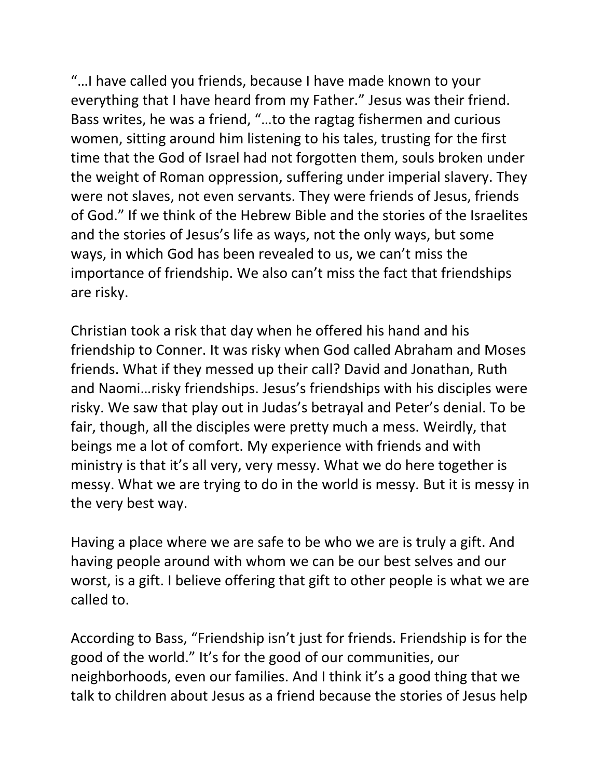"…I have called you friends, because I have made known to your everything that I have heard from my Father." Jesus was their friend. Bass writes, he was a friend, "…to the ragtag fishermen and curious women, sitting around him listening to his tales, trusting for the first time that the God of Israel had not forgotten them, souls broken under the weight of Roman oppression, suffering under imperial slavery. They were not slaves, not even servants. They were friends of Jesus, friends of God." If we think of the Hebrew Bible and the stories of the Israelites and the stories of Jesus's life as ways, not the only ways, but some ways, in which God has been revealed to us, we can't miss the importance of friendship. We also can't miss the fact that friendships are risky.

Christian took a risk that day when he offered his hand and his friendship to Conner. It was risky when God called Abraham and Moses friends. What if they messed up their call? David and Jonathan, Ruth and Naomi…risky friendships. Jesus's friendships with his disciples were risky. We saw that play out in Judas's betrayal and Peter's denial. To be fair, though, all the disciples were pretty much a mess. Weirdly, that beings me a lot of comfort. My experience with friends and with ministry is that it's all very, very messy. What we do here together is messy. What we are trying to do in the world is messy. But it is messy in the very best way.

Having a place where we are safe to be who we are is truly a gift. And having people around with whom we can be our best selves and our worst, is a gift. I believe offering that gift to other people is what we are called to.

According to Bass, "Friendship isn't just for friends. Friendship is for the good of the world." It's for the good of our communities, our neighborhoods, even our families. And I think it's a good thing that we talk to children about Jesus as a friend because the stories of Jesus help